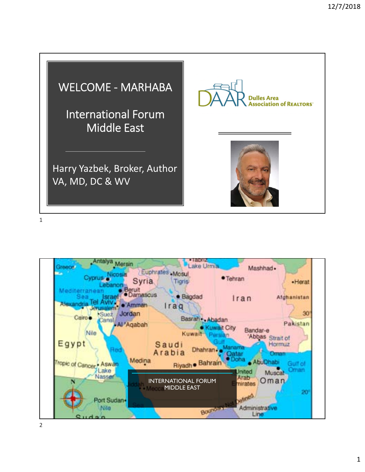

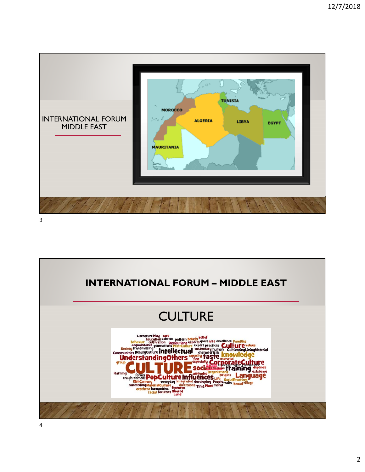

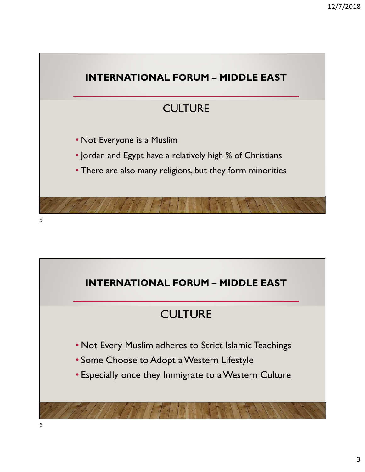

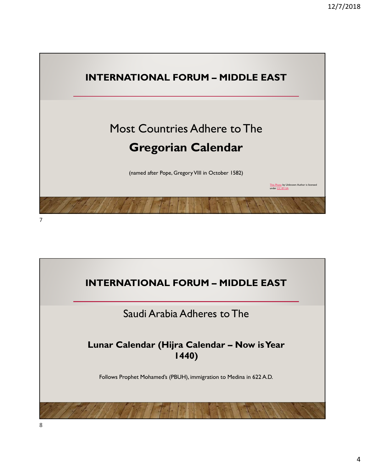

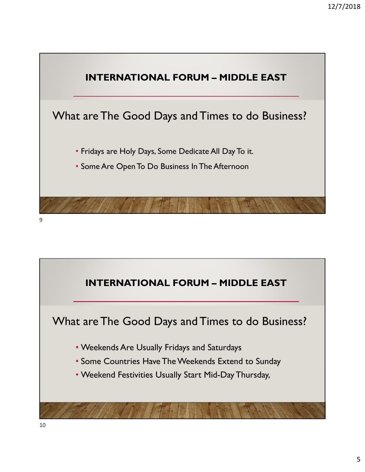

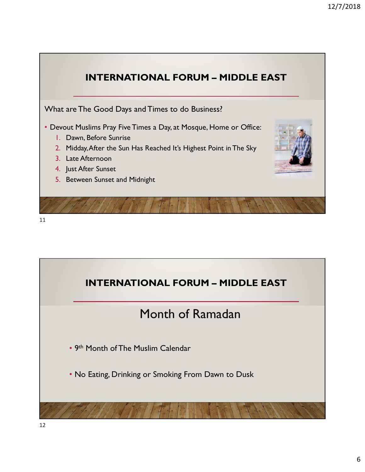

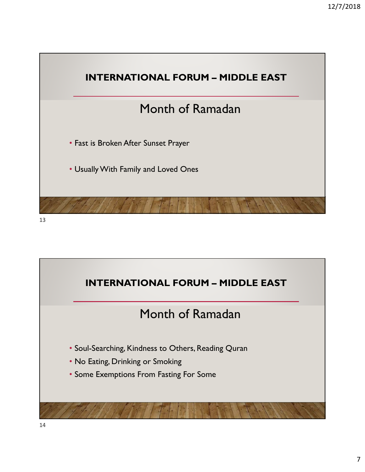

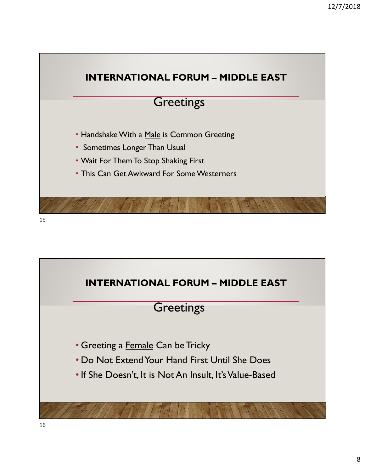

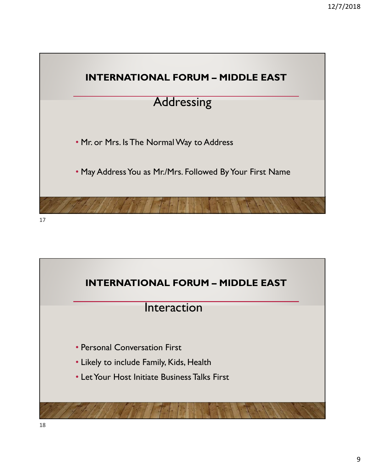

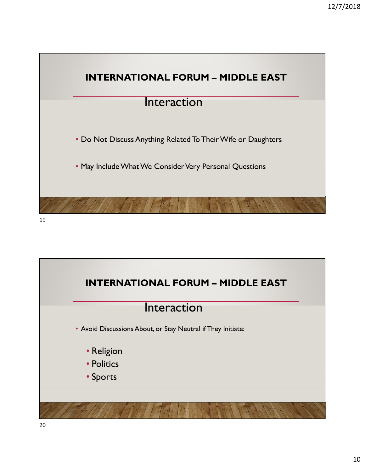

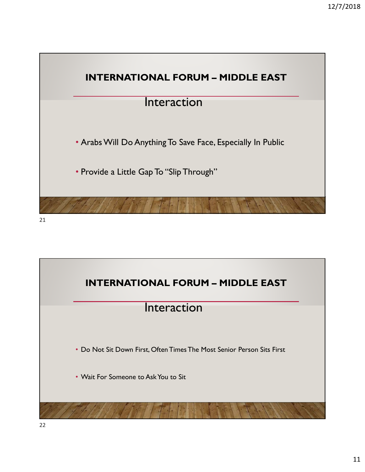

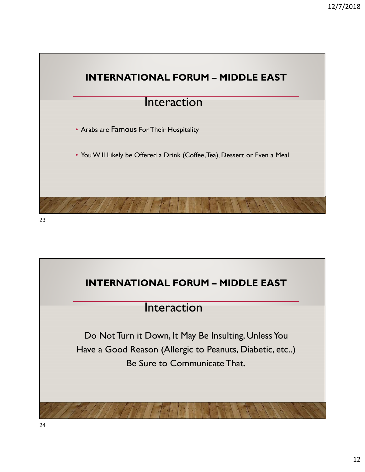

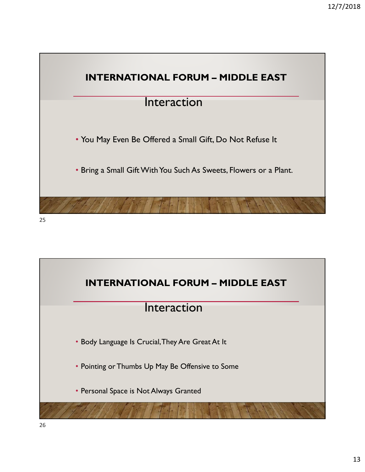

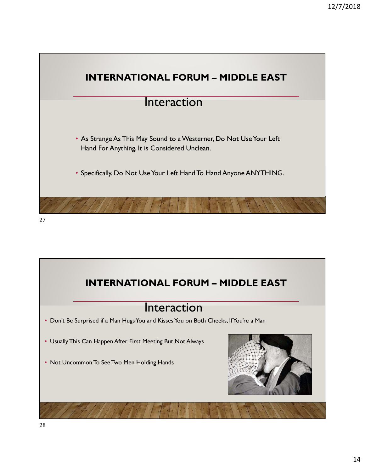

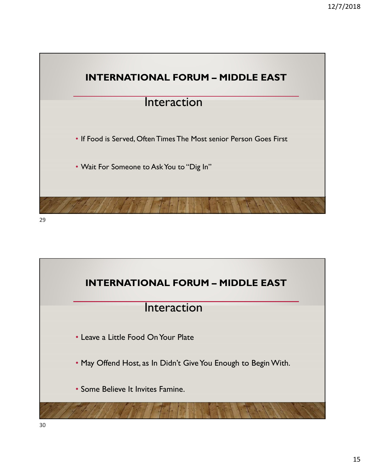

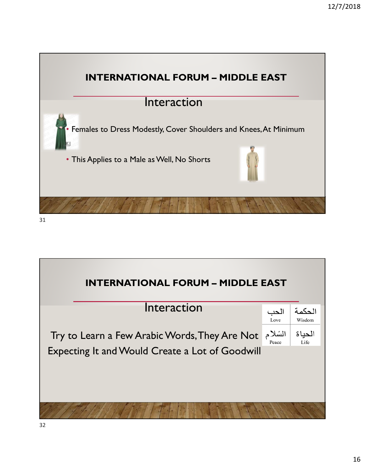

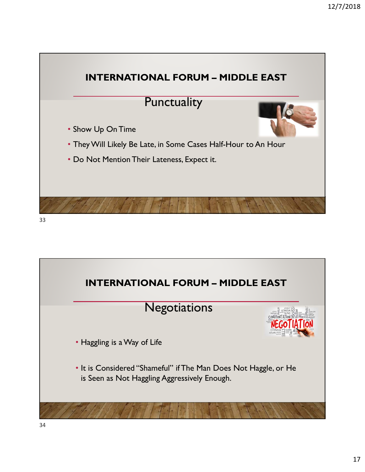

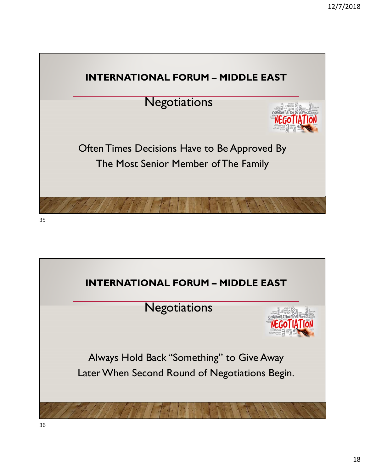

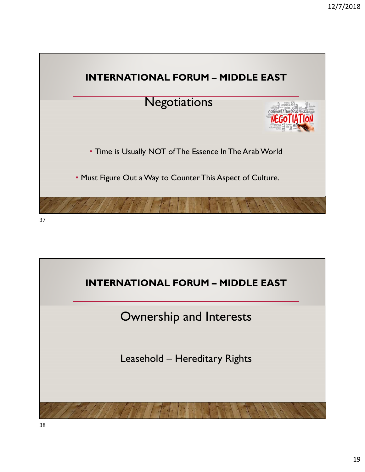

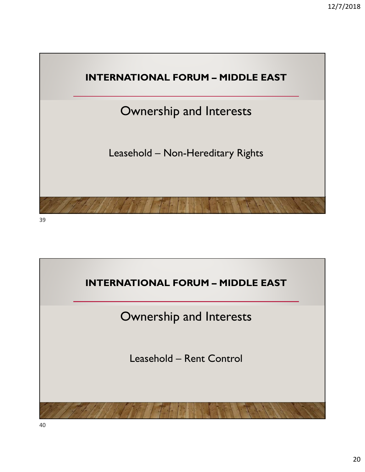

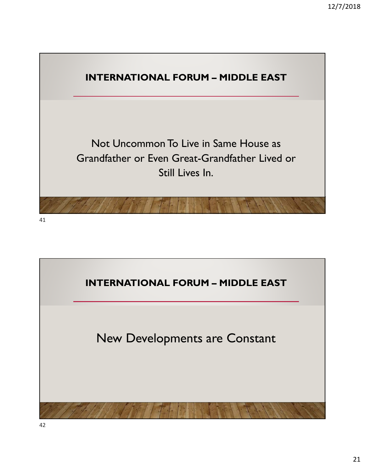

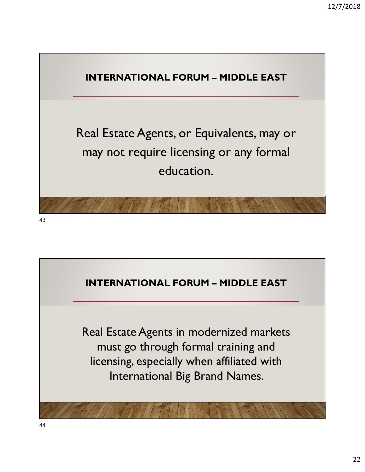![](_page_21_Picture_1.jpeg)

![](_page_21_Picture_2.jpeg)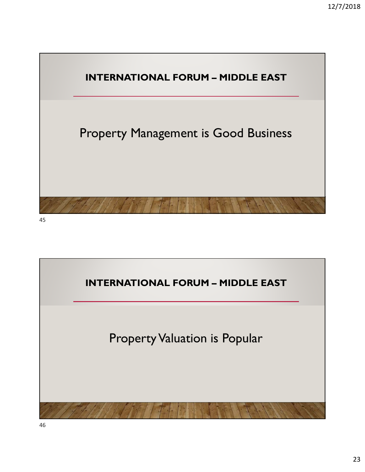![](_page_22_Figure_1.jpeg)

![](_page_22_Picture_2.jpeg)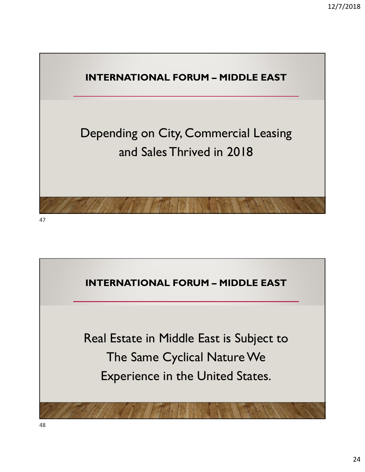![](_page_23_Picture_1.jpeg)

![](_page_23_Picture_2.jpeg)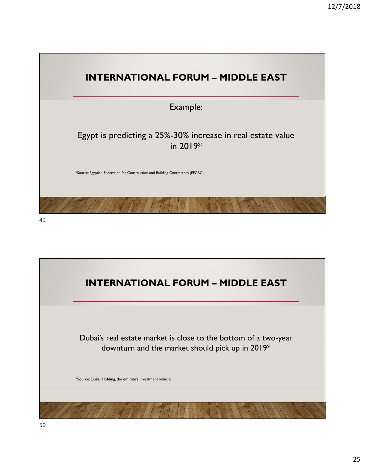![](_page_24_Picture_1.jpeg)

![](_page_24_Picture_3.jpeg)